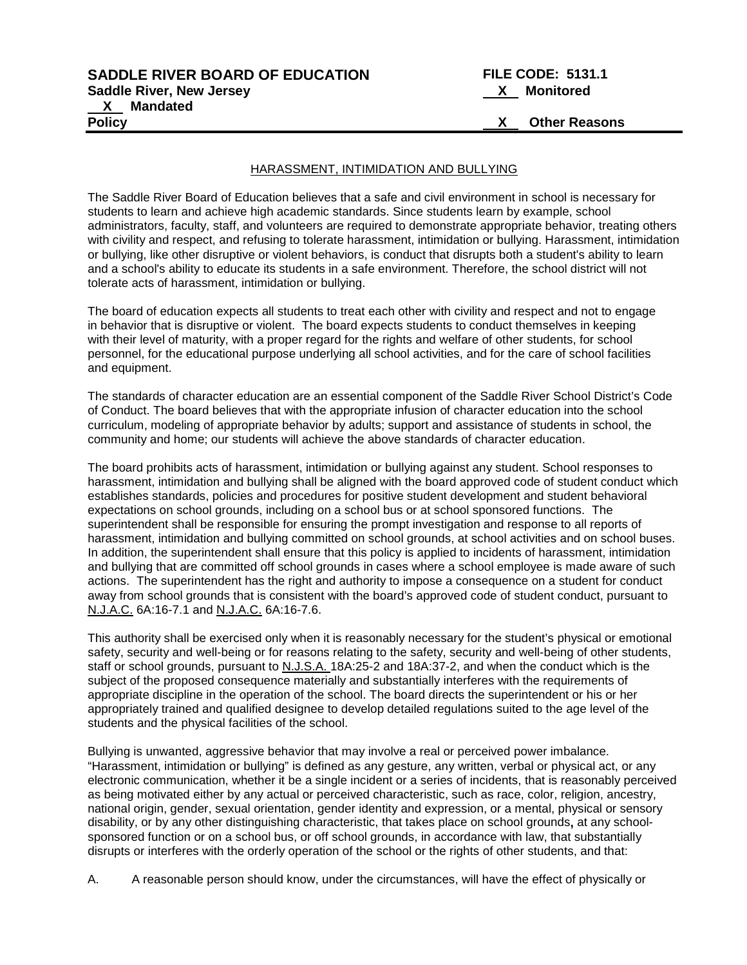# **SADDLE RIVER BOARD OF EDUCATION FILE CODE: 5131.1 Saddle River, New Jersey X Monitored X Mandated**

**Policy X Other Reasons**

#### HARASSMENT, INTIMIDATION AND BULLYING

The Saddle River Board of Education believes that a safe and civil environment in school is necessary for students to learn and achieve high academic standards. Since students learn by example, school administrators, faculty, staff, and volunteers are required to demonstrate appropriate behavior, treating others with civility and respect, and refusing to tolerate harassment, intimidation or bullying. Harassment, intimidation or bullying, like other disruptive or violent behaviors, is conduct that disrupts both a student's ability to learn and a school's ability to educate its students in a safe environment. Therefore, the school district will not tolerate acts of harassment, intimidation or bullying.

The board of education expects all students to treat each other with civility and respect and not to engage in behavior that is disruptive or violent. The board expects students to conduct themselves in keeping with their level of maturity, with a proper regard for the rights and welfare of other students, for school personnel, for the educational purpose underlying all school activities, and for the care of school facilities and equipment.

The standards of character education are an essential component of the Saddle River School District's Code of Conduct. The board believes that with the appropriate infusion of character education into the school curriculum, modeling of appropriate behavior by adults; support and assistance of students in school, the community and home; our students will achieve the above standards of character education.

The board prohibits acts of harassment, intimidation or bullying against any student. School responses to harassment, intimidation and bullying shall be aligned with the board approved code of student conduct which establishes standards, policies and procedures for positive student development and student behavioral expectations on school grounds, including on a school bus or at school sponsored functions. The superintendent shall be responsible for ensuring the prompt investigation and response to all reports of harassment, intimidation and bullying committed on school grounds, at school activities and on school buses. In addition, the superintendent shall ensure that this policy is applied to incidents of harassment, intimidation and bullying that are committed off school grounds in cases where a school employee is made aware of such actions. The superintendent has the right and authority to impose a consequence on a student for conduct away from school grounds that is consistent with the board's approved code of student conduct, pursuant to N.J.A.C. 6A:16-7.1 and N.J.A.C. 6A:16-7.6.

This authority shall be exercised only when it is reasonably necessary for the student's physical or emotional safety, security and well-being or for reasons relating to the safety, security and well-being of other students, staff or school grounds, pursuant to N.J.S.A. 18A:25-2 and 18A:37-2, and when the conduct which is the subject of the proposed consequence materially and substantially interferes with the requirements of appropriate discipline in the operation of the school. The board directs the superintendent or his or her appropriately trained and qualified designee to develop detailed regulations suited to the age level of the students and the physical facilities of the school.

Bullying is unwanted, aggressive behavior that may involve a real or perceived power imbalance. "Harassment, intimidation or bullying" is defined as any gesture, any written, verbal or physical act, or any electronic communication, whether it be a single incident or a series of incidents, that is reasonably perceived as being motivated either by any actual or perceived characteristic, such as race, color, religion, ancestry, national origin, gender, sexual orientation, gender identity and expression, or a mental, physical or sensory disability, or by any other distinguishing characteristic, that takes place on school grounds**,** at any schoolsponsored function or on a school bus, or off school grounds, in accordance with law, that substantially disrupts or interferes with the orderly operation of the school or the rights of other students, and that:

A. A reasonable person should know, under the circumstances, will have the effect of physically or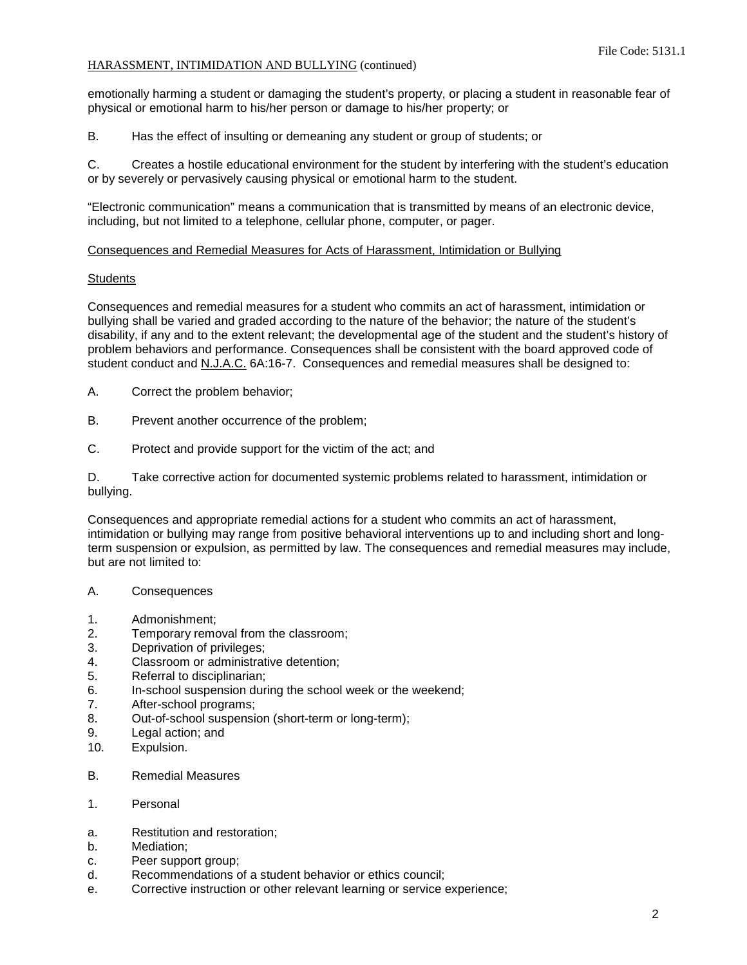emotionally harming a student or damaging the student's property, or placing a student in reasonable fear of physical or emotional harm to his/her person or damage to his/her property; or

B. Has the effect of insulting or demeaning any student or group of students; or

C. Creates a hostile educational environment for the student by interfering with the student's education or by severely or pervasively causing physical or emotional harm to the student.

"Electronic communication" means a communication that is transmitted by means of an electronic device, including, but not limited to a telephone, cellular phone, computer, or pager.

### Consequences and Remedial Measures for Acts of Harassment, Intimidation or Bullying

### **Students**

Consequences and remedial measures for a student who commits an act of harassment, intimidation or bullying shall be varied and graded according to the nature of the behavior; the nature of the student's disability, if any and to the extent relevant; the developmental age of the student and the student's history of problem behaviors and performance. Consequences shall be consistent with the board approved code of student conduct and N.J.A.C. 6A:16-7. Consequences and remedial measures shall be designed to:

A. Correct the problem behavior;

- B. Prevent another occurrence of the problem;
- C. Protect and provide support for the victim of the act; and

D. Take corrective action for documented systemic problems related to harassment, intimidation or bullying.

Consequences and appropriate remedial actions for a student who commits an act of harassment, intimidation or bullying may range from positive behavioral interventions up to and including short and longterm suspension or expulsion, as permitted by law. The consequences and remedial measures may include, but are not limited to:

# A. Consequences

- 1. Admonishment;
- 2. Temporary removal from the classroom;
- 3. Deprivation of privileges;
- 4. Classroom or administrative detention;
- 5. Referral to disciplinarian;
- 6. In-school suspension during the school week or the weekend;
- 7. After-school programs;
- 8. Out-of-school suspension (short-term or long-term);
- 9. Legal action; and
- 10. Expulsion.
- B. Remedial Measures
- 1. Personal
- a. Restitution and restoration;
- b. Mediation;
- c. Peer support group;
- d. Recommendations of a student behavior or ethics council;
- e. Corrective instruction or other relevant learning or service experience;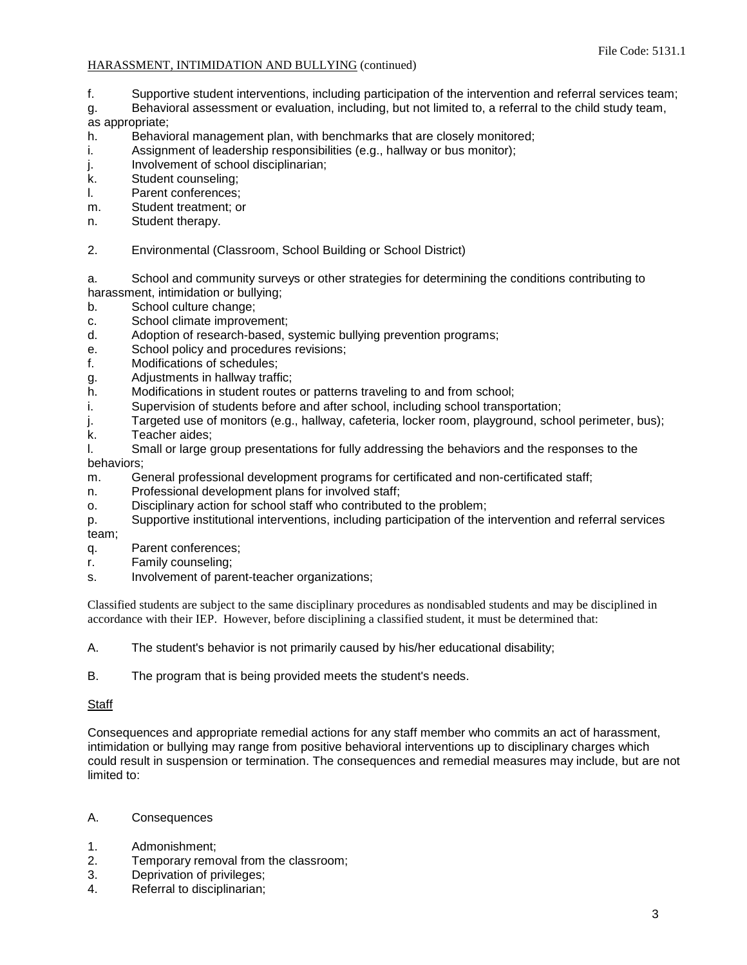- f. Supportive student interventions, including participation of the intervention and referral services team;
- g. Behavioral assessment or evaluation, including, but not limited to, a referral to the child study team,

as appropriate;

- h. Behavioral management plan, with benchmarks that are closely monitored;
- i. Assignment of leadership responsibilities (e.g., hallway or bus monitor);
- j. Involvement of school disciplinarian;
- k. Student counseling;
- l. Parent conferences;<br>m. Student treatment: o
- Student treatment; or
- n. Student therapy.
- 2. Environmental (Classroom, School Building or School District)

a. School and community surveys or other strategies for determining the conditions contributing to harassment, intimidation or bullying;

- b. School culture change;
- c. School climate improvement;
- d. Adoption of research-based, systemic bullying prevention programs;
- e. School policy and procedures revisions;
- f. Modifications of schedules;
- g. Adjustments in hallway traffic;
- h. Modifications in student routes or patterns traveling to and from school;
- i. Supervision of students before and after school, including school transportation;
- j. Targeted use of monitors (e.g., hallway, cafeteria, locker room, playground, school perimeter, bus);
- k. Teacher aides;
- l. Small or large group presentations for fully addressing the behaviors and the responses to the behaviors;
- m. General professional development programs for certificated and non-certificated staff;
- n. Professional development plans for involved staff;
- o. Disciplinary action for school staff who contributed to the problem;
- p. Supportive institutional interventions, including participation of the intervention and referral services team;
- q. Parent conferences;
- r. Family counseling;
- s. Involvement of parent-teacher organizations;

Classified students are subject to the same disciplinary procedures as nondisabled students and may be disciplined in accordance with their IEP. However, before disciplining a classified student, it must be determined that:

- A. The student's behavior is not primarily caused by his/her educational disability;
- B. The program that is being provided meets the student's needs.

## **Staff**

Consequences and appropriate remedial actions for any staff member who commits an act of harassment, intimidation or bullying may range from positive behavioral interventions up to disciplinary charges which could result in suspension or termination. The consequences and remedial measures may include, but are not limited to:

## A. Consequences

- 1. Admonishment;
- 2. Temporary removal from the classroom;
- 3. Deprivation of privileges;
- 4. Referral to disciplinarian;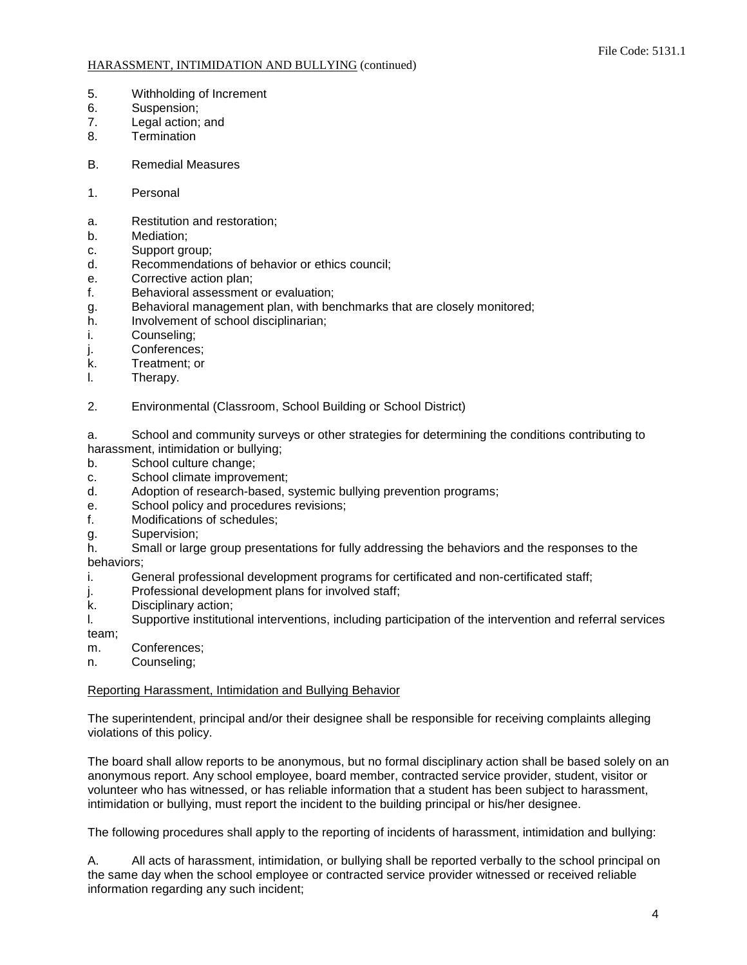- 5. Withholding of Increment
- 6. Suspension;
- 7. Legal action; and
- 8. Termination
- B. Remedial Measures
- 1. Personal
- a. Restitution and restoration;
- b. Mediation;
- c. Support group;
- d. Recommendations of behavior or ethics council;
- e. Corrective action plan;
- f. Behavioral assessment or evaluation;
- g. Behavioral management plan, with benchmarks that are closely monitored;
- h. Involvement of school disciplinarian;
- i. Counseling;
- j. Conferences;
- k. Treatment; or
- l. Therapy.
- 2. Environmental (Classroom, School Building or School District)

a. School and community surveys or other strategies for determining the conditions contributing to harassment, intimidation or bullying;

- b. School culture change;
- c. School climate improvement;
- d. Adoption of research-based, systemic bullying prevention programs;
- e. School policy and procedures revisions;
- f. Modifications of schedules;
- g. Supervision;

h. Small or large group presentations for fully addressing the behaviors and the responses to the behaviors;

- i. General professional development programs for certificated and non-certificated staff;
- j. Professional development plans for involved staff;
- k. Disciplinary action;
- l. Supportive institutional interventions, including participation of the intervention and referral services team;
- m. Conferences;
- n. Counseling;

# Reporting Harassment, Intimidation and Bullying Behavior

The superintendent, principal and/or their designee shall be responsible for receiving complaints alleging violations of this policy.

The board shall allow reports to be anonymous, but no formal disciplinary action shall be based solely on an anonymous report. Any school employee, board member, contracted service provider, student, visitor or volunteer who has witnessed, or has reliable information that a student has been subject to harassment, intimidation or bullying, must report the incident to the building principal or his/her designee.

The following procedures shall apply to the reporting of incidents of harassment, intimidation and bullying:

A. All acts of harassment, intimidation, or bullying shall be reported verbally to the school principal on the same day when the school employee or contracted service provider witnessed or received reliable information regarding any such incident;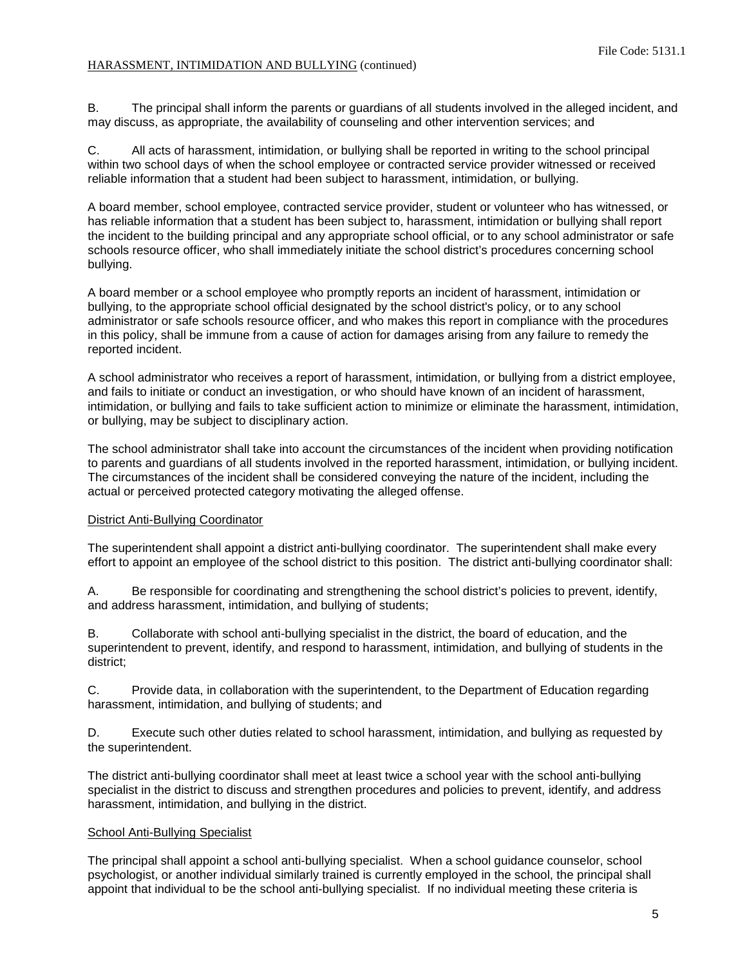B. The principal shall inform the parents or guardians of all students involved in the alleged incident, and may discuss, as appropriate, the availability of counseling and other intervention services; and

C. All acts of harassment, intimidation, or bullying shall be reported in writing to the school principal within two school days of when the school employee or contracted service provider witnessed or received reliable information that a student had been subject to harassment, intimidation, or bullying.

A board member, school employee, contracted service provider, student or volunteer who has witnessed, or has reliable information that a student has been subject to, harassment, intimidation or bullying shall report the incident to the building principal and any appropriate school official, or to any school administrator or safe schools resource officer, who shall immediately initiate the school district's procedures concerning school bullying.

A board member or a school employee who promptly reports an incident of harassment, intimidation or bullying, to the appropriate school official designated by the school district's policy, or to any school administrator or safe schools resource officer, and who makes this report in compliance with the procedures in this policy, shall be immune from a cause of action for damages arising from any failure to remedy the reported incident.

A school administrator who receives a report of harassment, intimidation, or bullying from a district employee, and fails to initiate or conduct an investigation, or who should have known of an incident of harassment, intimidation, or bullying and fails to take sufficient action to minimize or eliminate the harassment, intimidation, or bullying, may be subject to disciplinary action.

The school administrator shall take into account the circumstances of the incident when providing notification to parents and guardians of all students involved in the reported harassment, intimidation, or bullying incident. The circumstances of the incident shall be considered conveying the nature of the incident, including the actual or perceived protected category motivating the alleged offense.

## District Anti-Bullying Coordinator

The superintendent shall appoint a district anti-bullying coordinator. The superintendent shall make every effort to appoint an employee of the school district to this position. The district anti-bullying coordinator shall:

A. Be responsible for coordinating and strengthening the school district's policies to prevent, identify, and address harassment, intimidation, and bullying of students;

B. Collaborate with school anti-bullying specialist in the district, the board of education, and the superintendent to prevent, identify, and respond to harassment, intimidation, and bullying of students in the district;

C. Provide data, in collaboration with the superintendent, to the Department of Education regarding harassment, intimidation, and bullying of students; and

D. Execute such other duties related to school harassment, intimidation, and bullying as requested by the superintendent.

The district anti-bullying coordinator shall meet at least twice a school year with the school anti-bullying specialist in the district to discuss and strengthen procedures and policies to prevent, identify, and address harassment, intimidation, and bullying in the district.

#### School Anti-Bullying Specialist

The principal shall appoint a school anti-bullying specialist. When a school guidance counselor, school psychologist, or another individual similarly trained is currently employed in the school, the principal shall appoint that individual to be the school anti-bullying specialist. If no individual meeting these criteria is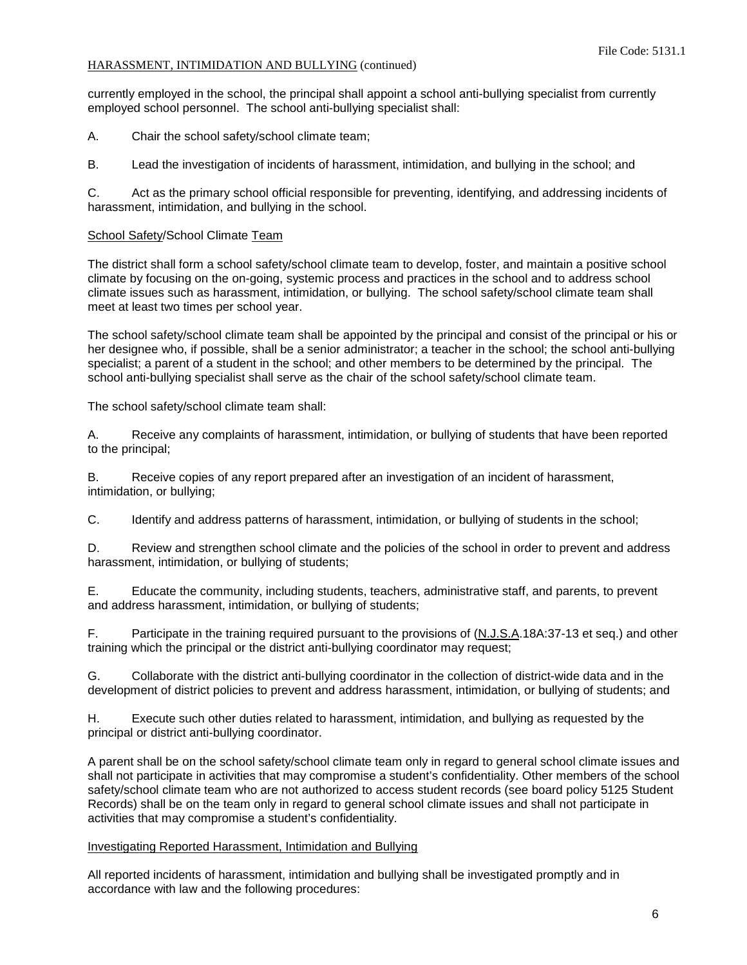currently employed in the school, the principal shall appoint a school anti-bullying specialist from currently employed school personnel. The school anti-bullying specialist shall:

A. Chair the school safety/school climate team;

B. Lead the investigation of incidents of harassment, intimidation, and bullying in the school; and

C. Act as the primary school official responsible for preventing, identifying, and addressing incidents of harassment, intimidation, and bullying in the school.

## School Safety/School Climate Team

The district shall form a school safety/school climate team to develop, foster, and maintain a positive school climate by focusing on the on-going, systemic process and practices in the school and to address school climate issues such as harassment, intimidation, or bullying. The school safety/school climate team shall meet at least two times per school year.

The school safety/school climate team shall be appointed by the principal and consist of the principal or his or her designee who, if possible, shall be a senior administrator; a teacher in the school; the school anti-bullying specialist; a parent of a student in the school; and other members to be determined by the principal. The school anti-bullying specialist shall serve as the chair of the school safety/school climate team.

The school safety/school climate team shall:

A. Receive any complaints of harassment, intimidation, or bullying of students that have been reported to the principal;

B. Receive copies of any report prepared after an investigation of an incident of harassment, intimidation, or bullying;

C. Identify and address patterns of harassment, intimidation, or bullying of students in the school;

D. Review and strengthen school climate and the policies of the school in order to prevent and address harassment, intimidation, or bullying of students;

E. Educate the community, including students, teachers, administrative staff, and parents, to prevent and address harassment, intimidation, or bullying of students;

F. Participate in the training required pursuant to the provisions of (N.J.S.A.18A:37-13 et seq.) and other training which the principal or the district anti-bullying coordinator may request;

G. Collaborate with the district anti-bullying coordinator in the collection of district-wide data and in the development of district policies to prevent and address harassment, intimidation, or bullying of students; and

H. Execute such other duties related to harassment, intimidation, and bullying as requested by the principal or district anti-bullying coordinator.

A parent shall be on the school safety/school climate team only in regard to general school climate issues and shall not participate in activities that may compromise a student's confidentiality. Other members of the school safety/school climate team who are not authorized to access student records (see board policy 5125 Student Records) shall be on the team only in regard to general school climate issues and shall not participate in activities that may compromise a student's confidentiality.

## Investigating Reported Harassment, Intimidation and Bullying

All reported incidents of harassment, intimidation and bullying shall be investigated promptly and in accordance with law and the following procedures: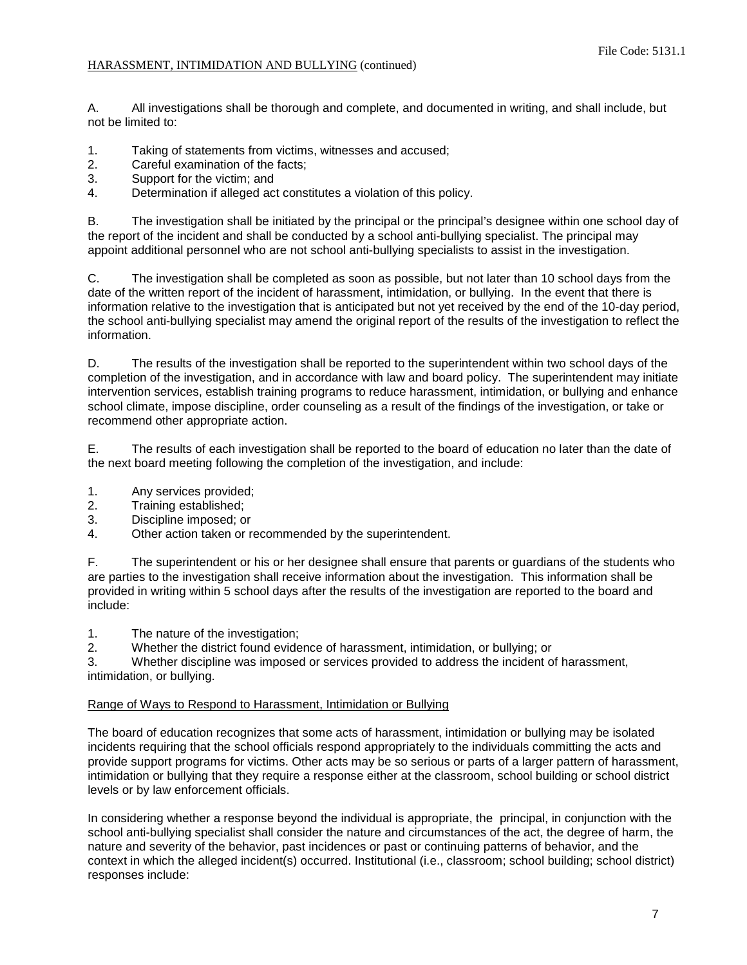A. All investigations shall be thorough and complete, and documented in writing, and shall include, but not be limited to:

- 1. Taking of statements from victims, witnesses and accused;
- 2. Careful examination of the facts;
- 3. Support for the victim; and
- 4. Determination if alleged act constitutes a violation of this policy.

B. The investigation shall be initiated by the principal or the principal's designee within one school day of the report of the incident and shall be conducted by a school anti-bullying specialist. The principal may appoint additional personnel who are not school anti-bullying specialists to assist in the investigation.

C. The investigation shall be completed as soon as possible, but not later than 10 school days from the date of the written report of the incident of harassment, intimidation, or bullying. In the event that there is information relative to the investigation that is anticipated but not yet received by the end of the 10-day period, the school anti-bullying specialist may amend the original report of the results of the investigation to reflect the information.

D. The results of the investigation shall be reported to the superintendent within two school days of the completion of the investigation, and in accordance with law and board policy. The superintendent may initiate intervention services, establish training programs to reduce harassment, intimidation, or bullying and enhance school climate, impose discipline, order counseling as a result of the findings of the investigation, or take or recommend other appropriate action.

E. The results of each investigation shall be reported to the board of education no later than the date of the next board meeting following the completion of the investigation, and include:

- 1. Any services provided;
- 2. Training established;
- 3. Discipline imposed; or
- 4. Other action taken or recommended by the superintendent.

F. The superintendent or his or her designee shall ensure that parents or guardians of the students who are parties to the investigation shall receive information about the investigation. This information shall be provided in writing within 5 school days after the results of the investigation are reported to the board and include:

1. The nature of the investigation;

2. Whether the district found evidence of harassment, intimidation, or bullying; or

3. Whether discipline was imposed or services provided to address the incident of harassment, intimidation, or bullying.

## Range of Ways to Respond to Harassment, Intimidation or Bullying

The board of education recognizes that some acts of harassment, intimidation or bullying may be isolated incidents requiring that the school officials respond appropriately to the individuals committing the acts and provide support programs for victims. Other acts may be so serious or parts of a larger pattern of harassment, intimidation or bullying that they require a response either at the classroom, school building or school district levels or by law enforcement officials.

In considering whether a response beyond the individual is appropriate, the principal, in conjunction with the school anti-bullying specialist shall consider the nature and circumstances of the act, the degree of harm, the nature and severity of the behavior, past incidences or past or continuing patterns of behavior, and the context in which the alleged incident(s) occurred. Institutional (i.e., classroom; school building; school district) responses include: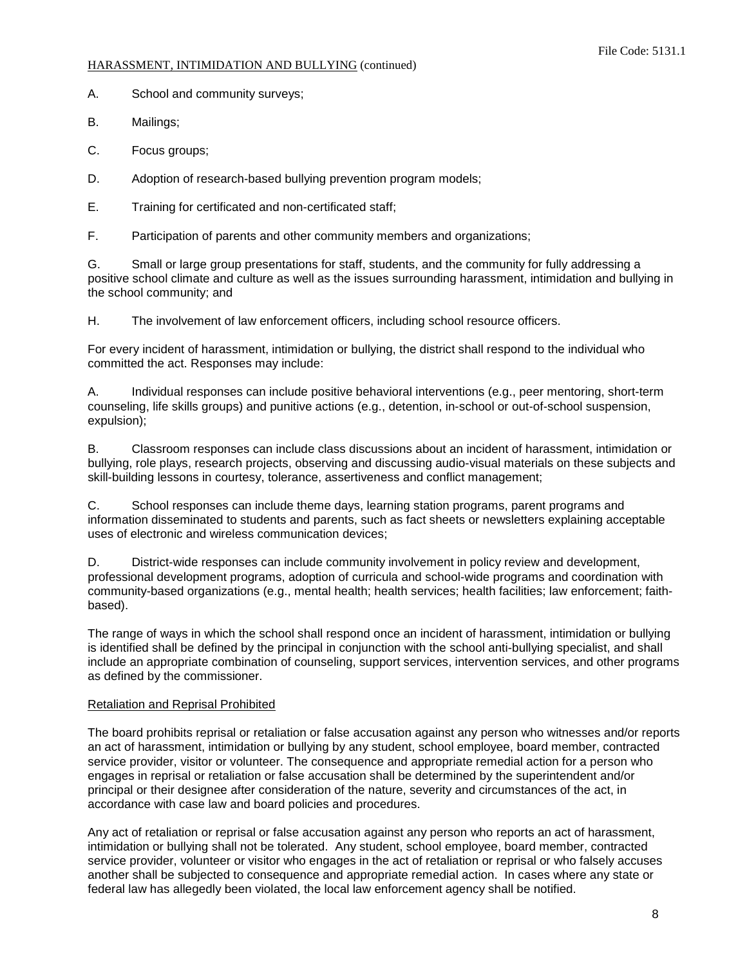A. School and community surveys;

B. Mailings;

C. Focus groups;

D. Adoption of research-based bullying prevention program models;

E. Training for certificated and non-certificated staff;

F. Participation of parents and other community members and organizations;

G. Small or large group presentations for staff, students, and the community for fully addressing a positive school climate and culture as well as the issues surrounding harassment, intimidation and bullying in the school community; and

H. The involvement of law enforcement officers, including school resource officers.

For every incident of harassment, intimidation or bullying, the district shall respond to the individual who committed the act. Responses may include:

A. Individual responses can include positive behavioral interventions (e.g., peer mentoring, short-term counseling, life skills groups) and punitive actions (e.g., detention, in-school or out-of-school suspension, expulsion);

B. Classroom responses can include class discussions about an incident of harassment, intimidation or bullying, role plays, research projects, observing and discussing audio-visual materials on these subjects and skill-building lessons in courtesy, tolerance, assertiveness and conflict management;

C. School responses can include theme days, learning station programs, parent programs and information disseminated to students and parents, such as fact sheets or newsletters explaining acceptable uses of electronic and wireless communication devices;

D. District-wide responses can include community involvement in policy review and development, professional development programs, adoption of curricula and school-wide programs and coordination with community-based organizations (e.g., mental health; health services; health facilities; law enforcement; faithbased).

The range of ways in which the school shall respond once an incident of harassment, intimidation or bullying is identified shall be defined by the principal in conjunction with the school anti-bullying specialist, and shall include an appropriate combination of counseling, support services, intervention services, and other programs as defined by the commissioner.

# Retaliation and Reprisal Prohibited

The board prohibits reprisal or retaliation or false accusation against any person who witnesses and/or reports an act of harassment, intimidation or bullying by any student, school employee, board member, contracted service provider, visitor or volunteer. The consequence and appropriate remedial action for a person who engages in reprisal or retaliation or false accusation shall be determined by the superintendent and/or principal or their designee after consideration of the nature, severity and circumstances of the act, in accordance with case law and board policies and procedures.

Any act of retaliation or reprisal or false accusation against any person who reports an act of harassment, intimidation or bullying shall not be tolerated. Any student, school employee, board member, contracted service provider, volunteer or visitor who engages in the act of retaliation or reprisal or who falsely accuses another shall be subjected to consequence and appropriate remedial action. In cases where any state or federal law has allegedly been violated, the local law enforcement agency shall be notified.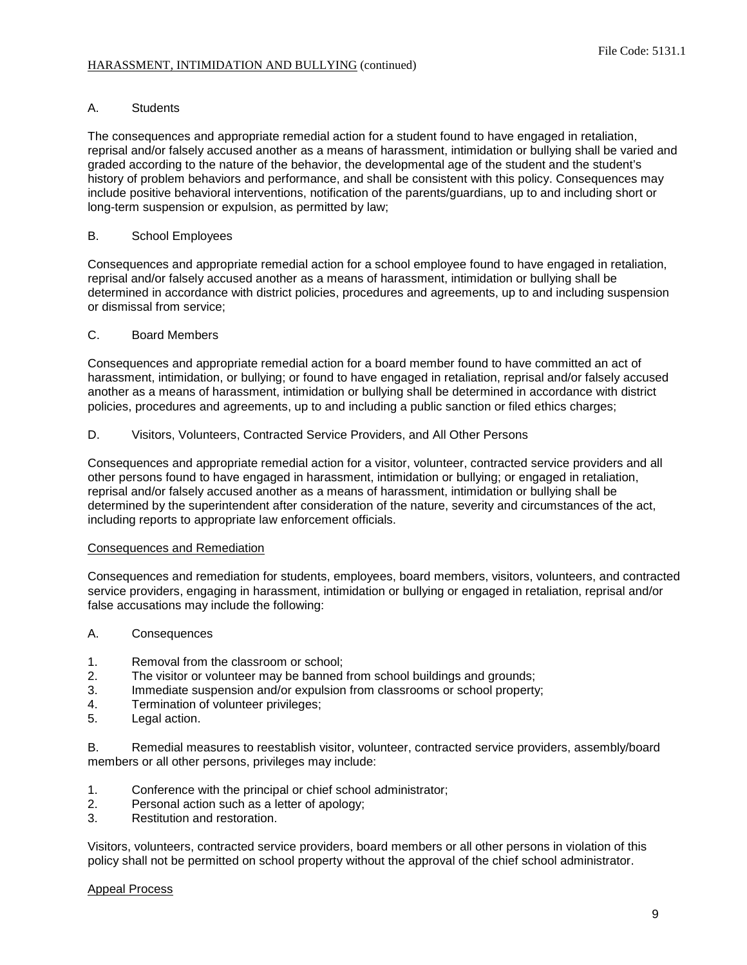## A. Students

The consequences and appropriate remedial action for a student found to have engaged in retaliation, reprisal and/or falsely accused another as a means of harassment, intimidation or bullying shall be varied and graded according to the nature of the behavior, the developmental age of the student and the student's history of problem behaviors and performance, and shall be consistent with this policy. Consequences may include positive behavioral interventions, notification of the parents/guardians, up to and including short or long-term suspension or expulsion, as permitted by law;

## B. School Employees

Consequences and appropriate remedial action for a school employee found to have engaged in retaliation, reprisal and/or falsely accused another as a means of harassment, intimidation or bullying shall be determined in accordance with district policies, procedures and agreements, up to and including suspension or dismissal from service;

## C. Board Members

Consequences and appropriate remedial action for a board member found to have committed an act of harassment, intimidation, or bullying; or found to have engaged in retaliation, reprisal and/or falsely accused another as a means of harassment, intimidation or bullying shall be determined in accordance with district policies, procedures and agreements, up to and including a public sanction or filed ethics charges;

## D. Visitors, Volunteers, Contracted Service Providers, and All Other Persons

Consequences and appropriate remedial action for a visitor, volunteer, contracted service providers and all other persons found to have engaged in harassment, intimidation or bullying; or engaged in retaliation, reprisal and/or falsely accused another as a means of harassment, intimidation or bullying shall be determined by the superintendent after consideration of the nature, severity and circumstances of the act, including reports to appropriate law enforcement officials.

## Consequences and Remediation

Consequences and remediation for students, employees, board members, visitors, volunteers, and contracted service providers, engaging in harassment, intimidation or bullying or engaged in retaliation, reprisal and/or false accusations may include the following:

## A. Consequences

- 1. Removal from the classroom or school;
- 2. The visitor or volunteer may be banned from school buildings and grounds;
- 3. Immediate suspension and/or expulsion from classrooms or school property;
- 4. Termination of volunteer privileges;
- 5. Legal action.

B. Remedial measures to reestablish visitor, volunteer, contracted service providers, assembly/board members or all other persons, privileges may include:

- 1. Conference with the principal or chief school administrator;<br>2. Personal action such as a letter of apology:
- Personal action such as a letter of apology;
- 3. Restitution and restoration.

Visitors, volunteers, contracted service providers, board members or all other persons in violation of this policy shall not be permitted on school property without the approval of the chief school administrator.

## Appeal Process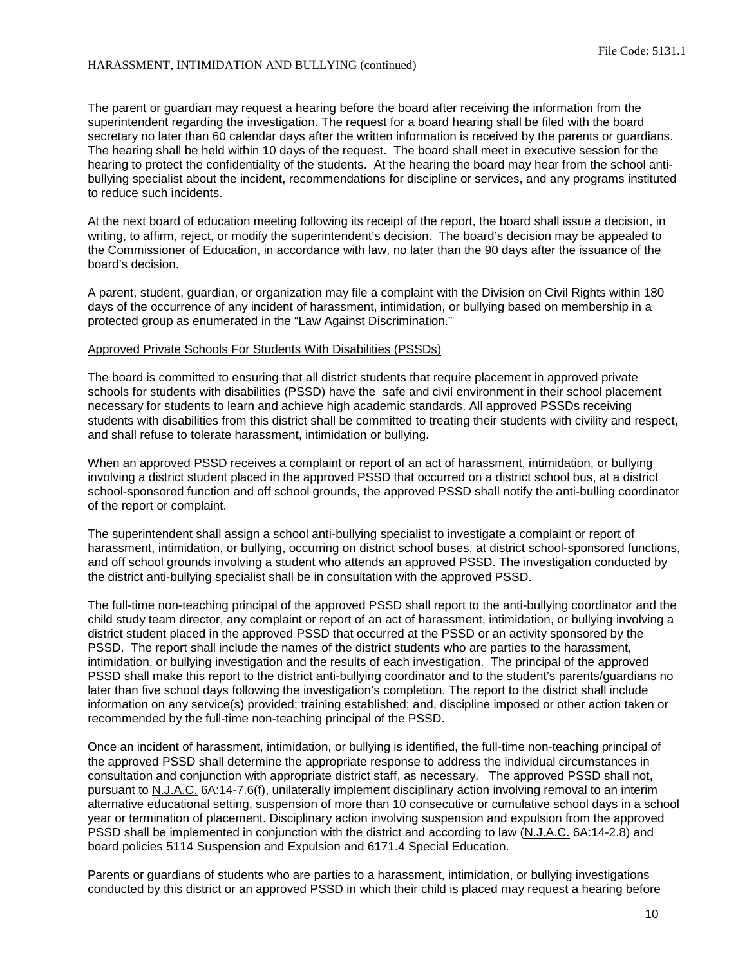The parent or guardian may request a hearing before the board after receiving the information from the superintendent regarding the investigation. The request for a board hearing shall be filed with the board secretary no later than 60 calendar days after the written information is received by the parents or guardians. The hearing shall be held within 10 days of the request. The board shall meet in executive session for the hearing to protect the confidentiality of the students. At the hearing the board may hear from the school antibullying specialist about the incident, recommendations for discipline or services, and any programs instituted to reduce such incidents.

At the next board of education meeting following its receipt of the report, the board shall issue a decision, in writing, to affirm, reject, or modify the superintendent's decision. The board's decision may be appealed to the Commissioner of Education, in accordance with law, no later than the 90 days after the issuance of the board's decision.

A parent, student, guardian, or organization may file a complaint with the Division on Civil Rights within 180 days of the occurrence of any incident of harassment, intimidation, or bullying based on membership in a protected group as enumerated in the "Law Against Discrimination."

### Approved Private Schools For Students With Disabilities (PSSDs)

The board is committed to ensuring that all district students that require placement in approved private schools for students with disabilities (PSSD) have the safe and civil environment in their school placement necessary for students to learn and achieve high academic standards. All approved PSSDs receiving students with disabilities from this district shall be committed to treating their students with civility and respect, and shall refuse to tolerate harassment, intimidation or bullying.

When an approved PSSD receives a complaint or report of an act of harassment, intimidation, or bullying involving a district student placed in the approved PSSD that occurred on a district school bus, at a district school-sponsored function and off school grounds, the approved PSSD shall notify the anti-bulling coordinator of the report or complaint.

The superintendent shall assign a school anti-bullying specialist to investigate a complaint or report of harassment, intimidation, or bullying, occurring on district school buses, at district school-sponsored functions, and off school grounds involving a student who attends an approved PSSD. The investigation conducted by the district anti-bullying specialist shall be in consultation with the approved PSSD.

The full-time non-teaching principal of the approved PSSD shall report to the anti-bullying coordinator and the child study team director, any complaint or report of an act of harassment, intimidation, or bullying involving a district student placed in the approved PSSD that occurred at the PSSD or an activity sponsored by the PSSD. The report shall include the names of the district students who are parties to the harassment, intimidation, or bullying investigation and the results of each investigation. The principal of the approved PSSD shall make this report to the district anti-bullying coordinator and to the student's parents/guardians no later than five school days following the investigation's completion. The report to the district shall include information on any service(s) provided; training established; and, discipline imposed or other action taken or recommended by the full-time non-teaching principal of the PSSD.

Once an incident of harassment, intimidation, or bullying is identified, the full-time non-teaching principal of the approved PSSD shall determine the appropriate response to address the individual circumstances in consultation and conjunction with appropriate district staff, as necessary. The approved PSSD shall not, pursuant to N.J.A.C. 6A:14-7.6(f), unilaterally implement disciplinary action involving removal to an interim alternative educational setting, suspension of more than 10 consecutive or cumulative school days in a school year or termination of placement. Disciplinary action involving suspension and expulsion from the approved PSSD shall be implemented in conjunction with the district and according to law (N.J.A.C. 6A:14-2.8) and board policies 5114 Suspension and Expulsion and 6171.4 Special Education.

Parents or guardians of students who are parties to a harassment, intimidation, or bullying investigations conducted by this district or an approved PSSD in which their child is placed may request a hearing before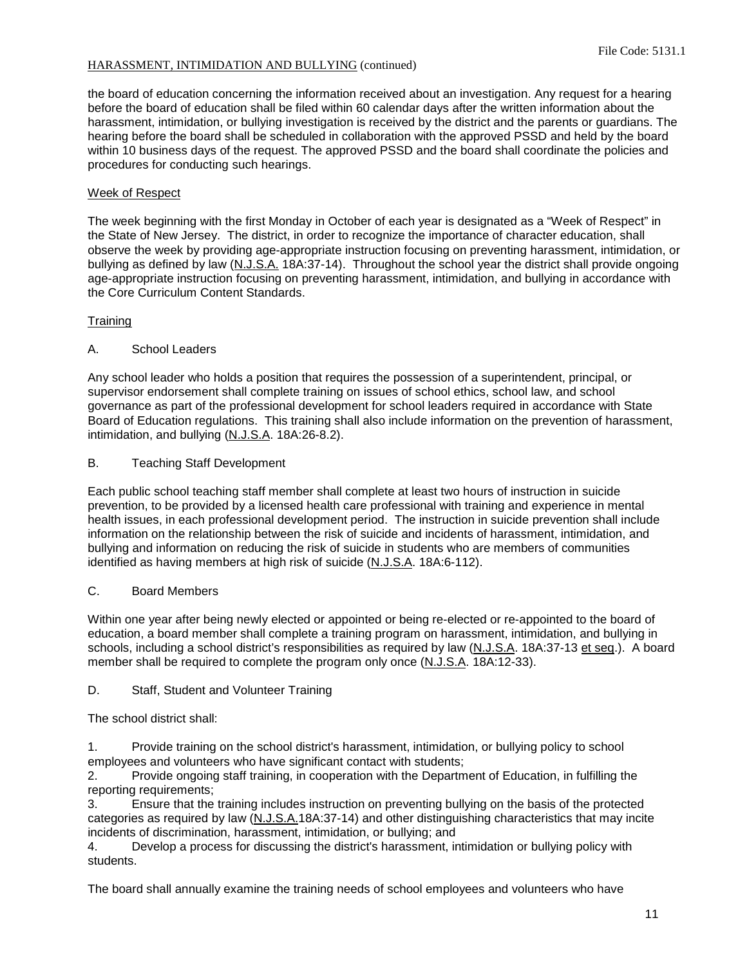the board of education concerning the information received about an investigation. Any request for a hearing before the board of education shall be filed within 60 calendar days after the written information about the harassment, intimidation, or bullying investigation is received by the district and the parents or guardians. The hearing before the board shall be scheduled in collaboration with the approved PSSD and held by the board within 10 business days of the request. The approved PSSD and the board shall coordinate the policies and procedures for conducting such hearings.

# Week of Respect

The week beginning with the first Monday in October of each year is designated as a "Week of Respect" in the State of New Jersey. The district, in order to recognize the importance of character education, shall observe the week by providing age-appropriate instruction focusing on preventing harassment, intimidation, or bullying as defined by law (N.J.S.A. 18A:37-14). Throughout the school year the district shall provide ongoing age-appropriate instruction focusing on preventing harassment, intimidation, and bullying in accordance with the Core Curriculum Content Standards.

## **Training**

# A. School Leaders

Any school leader who holds a position that requires the possession of a superintendent, principal, or supervisor endorsement shall complete training on issues of school ethics, school law, and school governance as part of the professional development for school leaders required in accordance with State Board of Education regulations. This training shall also include information on the prevention of harassment, intimidation, and bullying (N.J.S.A. 18A:26-8.2).

## B. Teaching Staff Development

Each public school teaching staff member shall complete at least two hours of instruction in suicide prevention, to be provided by a licensed health care professional with training and experience in mental health issues, in each professional development period. The instruction in suicide prevention shall include information on the relationship between the risk of suicide and incidents of harassment, intimidation, and bullying and information on reducing the risk of suicide in students who are members of communities identified as having members at high risk of suicide (N.J.S.A. 18A:6-112).

# C. Board Members

Within one year after being newly elected or appointed or being re-elected or re-appointed to the board of education, a board member shall complete a training program on harassment, intimidation, and bullying in schools, including a school district's responsibilities as required by law (N.J.S.A. 18A:37-13 et seq.). A board member shall be required to complete the program only once (N.J.S.A. 18A:12-33).

# D. Staff, Student and Volunteer Training

The school district shall:

1. Provide training on the school district's harassment, intimidation, or bullying policy to school employees and volunteers who have significant contact with students;

2. Provide ongoing staff training, in cooperation with the Department of Education, in fulfilling the reporting requirements;

3. Ensure that the training includes instruction on preventing bullying on the basis of the protected categories as required by law (N.J.S.A.18A:37-14) and other distinguishing characteristics that may incite incidents of discrimination, harassment, intimidation, or bullying; and

4. Develop a process for discussing the district's harassment, intimidation or bullying policy with students.

The board shall annually examine the training needs of school employees and volunteers who have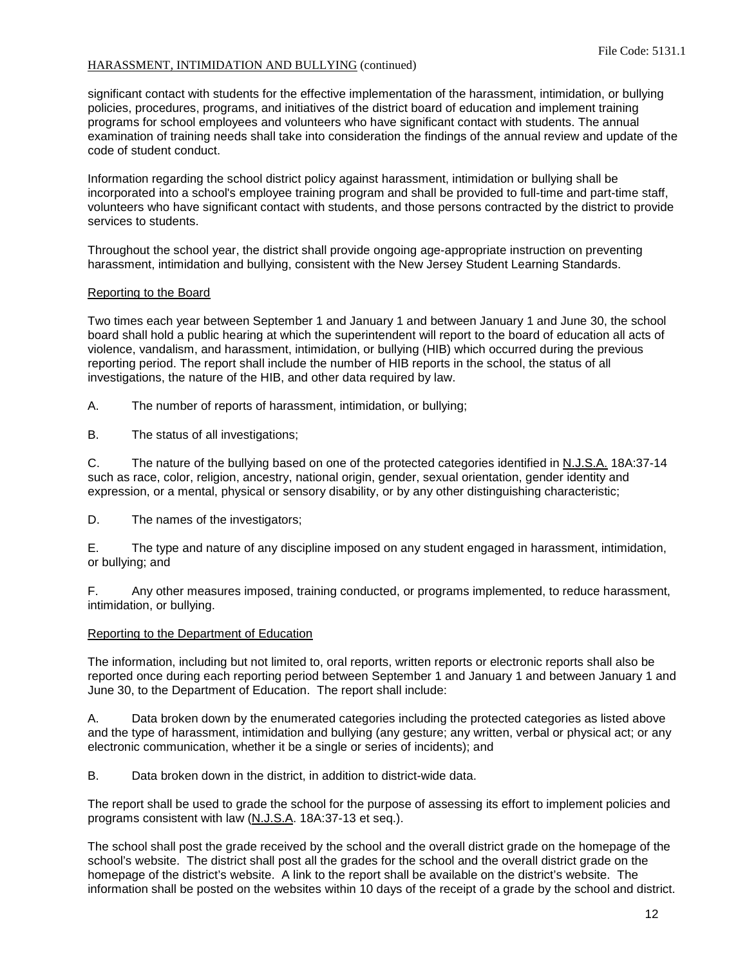significant contact with students for the effective implementation of the harassment, intimidation, or bullying policies, procedures, programs, and initiatives of the district board of education and implement training programs for school employees and volunteers who have significant contact with students. The annual examination of training needs shall take into consideration the findings of the annual review and update of the code of student conduct.

Information regarding the school district policy against harassment, intimidation or bullying shall be incorporated into a school's employee training program and shall be provided to full-time and part-time staff, volunteers who have significant contact with students, and those persons contracted by the district to provide services to students.

Throughout the school year, the district shall provide ongoing age-appropriate instruction on preventing harassment, intimidation and bullying, consistent with the New Jersey Student Learning Standards.

### Reporting to the Board

Two times each year between September 1 and January 1 and between January 1 and June 30, the school board shall hold a public hearing at which the superintendent will report to the board of education all acts of violence, vandalism, and harassment, intimidation, or bullying (HIB) which occurred during the previous reporting period. The report shall include the number of HIB reports in the school, the status of all investigations, the nature of the HIB, and other data required by law.

A. The number of reports of harassment, intimidation, or bullying;

B. The status of all investigations;

C. The nature of the bullying based on one of the protected categories identified in N.J.S.A. 18A:37-14 such as race, color, religion, ancestry, national origin, gender, sexual orientation, gender identity and expression, or a mental, physical or sensory disability, or by any other distinguishing characteristic;

D. The names of the investigators;

E. The type and nature of any discipline imposed on any student engaged in harassment, intimidation, or bullying; and

F. Any other measures imposed, training conducted, or programs implemented, to reduce harassment, intimidation, or bullying.

#### Reporting to the Department of Education

The information, including but not limited to, oral reports, written reports or electronic reports shall also be reported once during each reporting period between September 1 and January 1 and between January 1 and June 30, to the Department of Education. The report shall include:

A. Data broken down by the enumerated categories including the protected categories as listed above and the type of harassment, intimidation and bullying (any gesture; any written, verbal or physical act; or any electronic communication, whether it be a single or series of incidents); and

B. Data broken down in the district, in addition to district-wide data.

The report shall be used to grade the school for the purpose of assessing its effort to implement policies and programs consistent with law (N.J.S.A. 18A:37-13 et seq.).

The school shall post the grade received by the school and the overall district grade on the homepage of the school's website. The district shall post all the grades for the school and the overall district grade on the homepage of the district's website. A link to the report shall be available on the district's website. The information shall be posted on the websites within 10 days of the receipt of a grade by the school and district.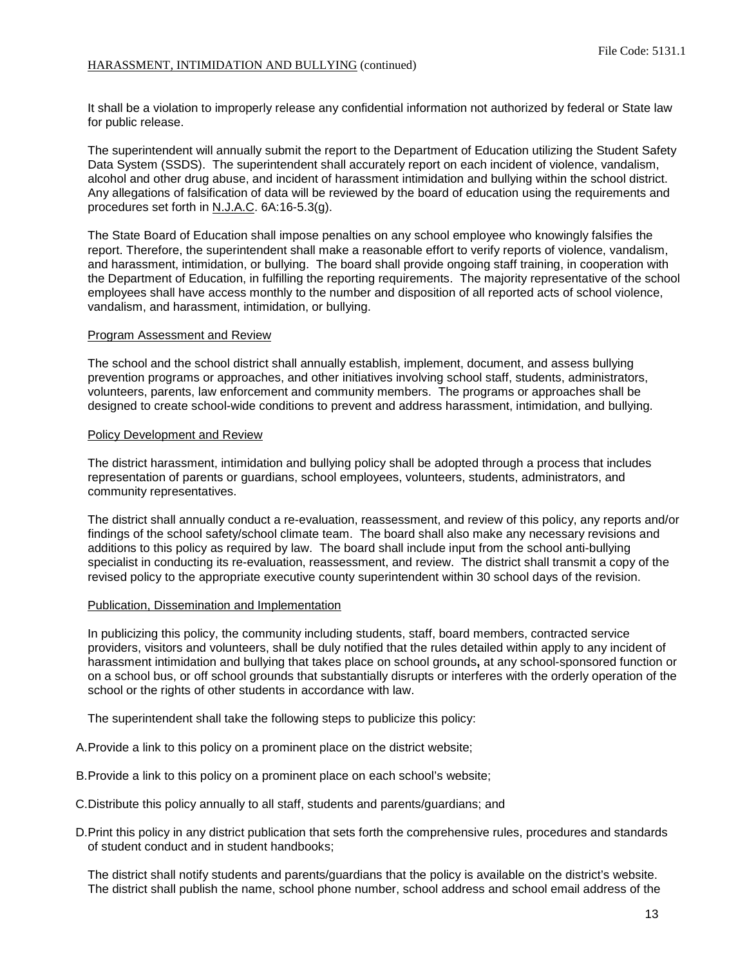It shall be a violation to improperly release any confidential information not authorized by federal or State law for public release.

The superintendent will annually submit the report to the Department of Education utilizing the Student Safety Data System (SSDS). The superintendent shall accurately report on each incident of violence, vandalism, alcohol and other drug abuse, and incident of harassment intimidation and bullying within the school district. Any allegations of falsification of data will be reviewed by the board of education using the requirements and procedures set forth in N.J.A.C. 6A:16-5.3(g).

The State Board of Education shall impose penalties on any school employee who knowingly falsifies the report. Therefore, the superintendent shall make a reasonable effort to verify reports of violence, vandalism, and harassment, intimidation, or bullying. The board shall provide ongoing staff training, in cooperation with the Department of Education, in fulfilling the reporting requirements. The majority representative of the school employees shall have access monthly to the number and disposition of all reported acts of school violence, vandalism, and harassment, intimidation, or bullying.

#### Program Assessment and Review

The school and the school district shall annually establish, implement, document, and assess bullying prevention programs or approaches, and other initiatives involving school staff, students, administrators, volunteers, parents, law enforcement and community members. The programs or approaches shall be designed to create school-wide conditions to prevent and address harassment, intimidation, and bullying.

#### Policy Development and Review

The district harassment, intimidation and bullying policy shall be adopted through a process that includes representation of parents or guardians, school employees, volunteers, students, administrators, and community representatives.

The district shall annually conduct a re-evaluation, reassessment, and review of this policy, any reports and/or findings of the school safety/school climate team. The board shall also make any necessary revisions and additions to this policy as required by law. The board shall include input from the school anti-bullying specialist in conducting its re-evaluation, reassessment, and review. The district shall transmit a copy of the revised policy to the appropriate executive county superintendent within 30 school days of the revision.

#### Publication, Dissemination and Implementation

In publicizing this policy, the community including students, staff, board members, contracted service providers, visitors and volunteers, shall be duly notified that the rules detailed within apply to any incident of harassment intimidation and bullying that takes place on school grounds**,** at any school-sponsored function or on a school bus, or off school grounds that substantially disrupts or interferes with the orderly operation of the school or the rights of other students in accordance with law.

The superintendent shall take the following steps to publicize this policy:

- A.Provide a link to this policy on a prominent place on the district website;
- B.Provide a link to this policy on a prominent place on each school's website;
- C.Distribute this policy annually to all staff, students and parents/guardians; and
- D.Print this policy in any district publication that sets forth the comprehensive rules, procedures and standards of student conduct and in student handbooks;

The district shall notify students and parents/guardians that the policy is available on the district's website. The district shall publish the name, school phone number, school address and school email address of the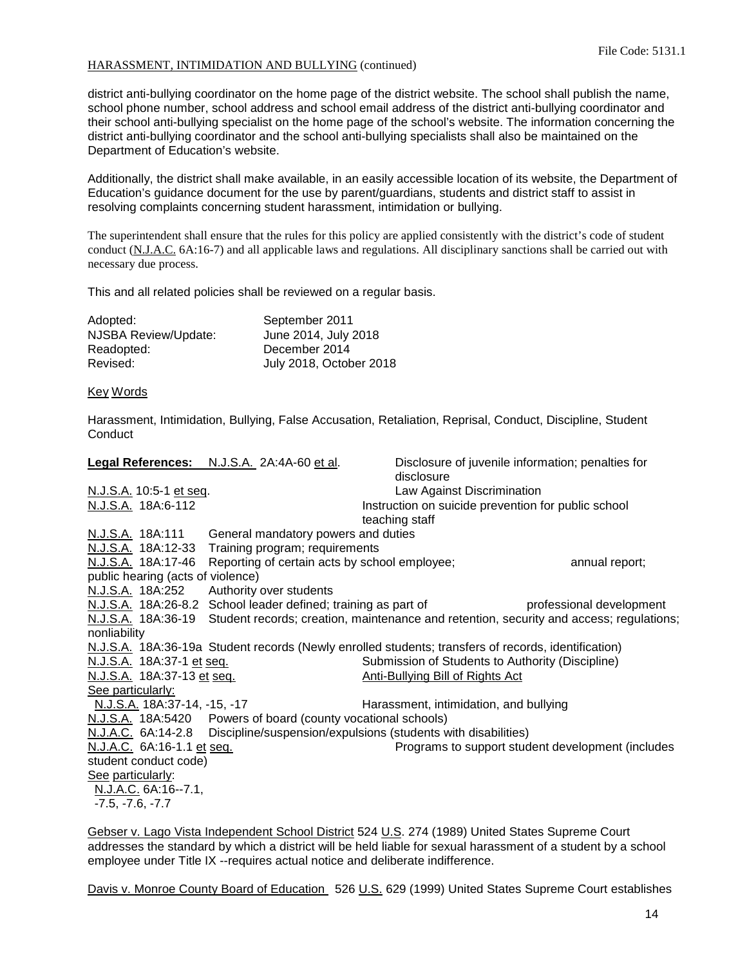district anti-bullying coordinator on the home page of the district website. The school shall publish the name, school phone number, school address and school email address of the district anti-bullying coordinator and their school anti-bullying specialist on the home page of the school's website. The information concerning the district anti-bullying coordinator and the school anti-bullying specialists shall also be maintained on the Department of Education's website.

Additionally, the district shall make available, in an easily accessible location of its website, the Department of Education's guidance document for the use by parent/guardians, students and district staff to assist in resolving complaints concerning student harassment, intimidation or bullying.

The superintendent shall ensure that the rules for this policy are applied consistently with the district's code of student conduct (N.J.A.C. 6A:16-7) and all applicable laws and regulations. All disciplinary sanctions shall be carried out with necessary due process.

This and all related policies shall be reviewed on a regular basis.

| Adopted:             | September 2011          |
|----------------------|-------------------------|
| NJSBA Review/Update: | June 2014, July 2018    |
| Readopted:           | December 2014           |
| Revised:             | July 2018, October 2018 |

### Key Words

Harassment, Intimidation, Bullying, False Accusation, Retaliation, Reprisal, Conduct, Discipline, Student **Conduct** 

|                                   | Legal References: N.J.S.A. 2A:4A-60 et al.                       |                                                                                                     | Disclosure of juvenile information; penalties for                                                          |
|-----------------------------------|------------------------------------------------------------------|-----------------------------------------------------------------------------------------------------|------------------------------------------------------------------------------------------------------------|
|                                   |                                                                  | disclosure                                                                                          |                                                                                                            |
| N.J.S.A. 10:5-1 et seq.           |                                                                  | Law Against Discrimination                                                                          |                                                                                                            |
| N.J.S.A. 18A:6-112                |                                                                  | Instruction on suicide prevention for public school                                                 |                                                                                                            |
|                                   |                                                                  | teaching staff                                                                                      |                                                                                                            |
| N.J.S.A. 18A:111                  | General mandatory powers and duties                              |                                                                                                     |                                                                                                            |
|                                   | N.J.S.A. 18A:12-33 Training program; requirements                |                                                                                                     |                                                                                                            |
|                                   | N.J.S.A. 18A:17-46 Reporting of certain acts by school employee; |                                                                                                     | annual report;                                                                                             |
| public hearing (acts of violence) |                                                                  |                                                                                                     |                                                                                                            |
|                                   | N.J.S.A. 18A:252 Authority over students                         |                                                                                                     |                                                                                                            |
|                                   | N.J.S.A. 18A:26-8.2 School leader defined; training as part of   |                                                                                                     | professional development                                                                                   |
|                                   |                                                                  |                                                                                                     | N.J.S.A. 18A:36-19 Student records; creation, maintenance and retention, security and access; regulations; |
| nonliability                      |                                                                  |                                                                                                     |                                                                                                            |
|                                   |                                                                  | N.J.S.A. 18A:36-19a Student records (Newly enrolled students; transfers of records, identification) |                                                                                                            |
| N.J.S.A. 18A:37-1 et seq.         |                                                                  | Submission of Students to Authority (Discipline)                                                    |                                                                                                            |
| N.J.S.A. 18A:37-13 et seq.        |                                                                  | <b>Anti-Bullying Bill of Rights Act</b>                                                             |                                                                                                            |
| See particularly:                 |                                                                  |                                                                                                     |                                                                                                            |
| N.J.S.A. 18A:37-14, -15, -17      |                                                                  | Harassment, intimidation, and bullying                                                              |                                                                                                            |
|                                   | N.J.S.A. 18A:5420 Powers of board (county vocational schools)    |                                                                                                     |                                                                                                            |
|                                   |                                                                  | N.J.A.C. 6A:14-2.8 Discipline/suspension/expulsions (students with disabilities)                    |                                                                                                            |
| N.J.A.C. 6A:16-1.1 et seq.        |                                                                  |                                                                                                     | Programs to support student development (includes                                                          |
| student conduct code)             |                                                                  |                                                                                                     |                                                                                                            |
| See particularly:                 |                                                                  |                                                                                                     |                                                                                                            |
| N.J.A.C. 6A:16--7.1,              |                                                                  |                                                                                                     |                                                                                                            |
| $-7.5, -7.6, -7.7$                |                                                                  |                                                                                                     |                                                                                                            |
|                                   |                                                                  |                                                                                                     |                                                                                                            |

Gebser v. Lago Vista Independent School District 524 U.S. 274 (1989) United States Supreme Court addresses the standard by which a district will be held liable for sexual harassment of a student by a school employee under Title IX --requires actual notice and deliberate indifference.

Davis v. Monroe County Board of Education 526 U.S. 629 (1999) United States Supreme Court establishes